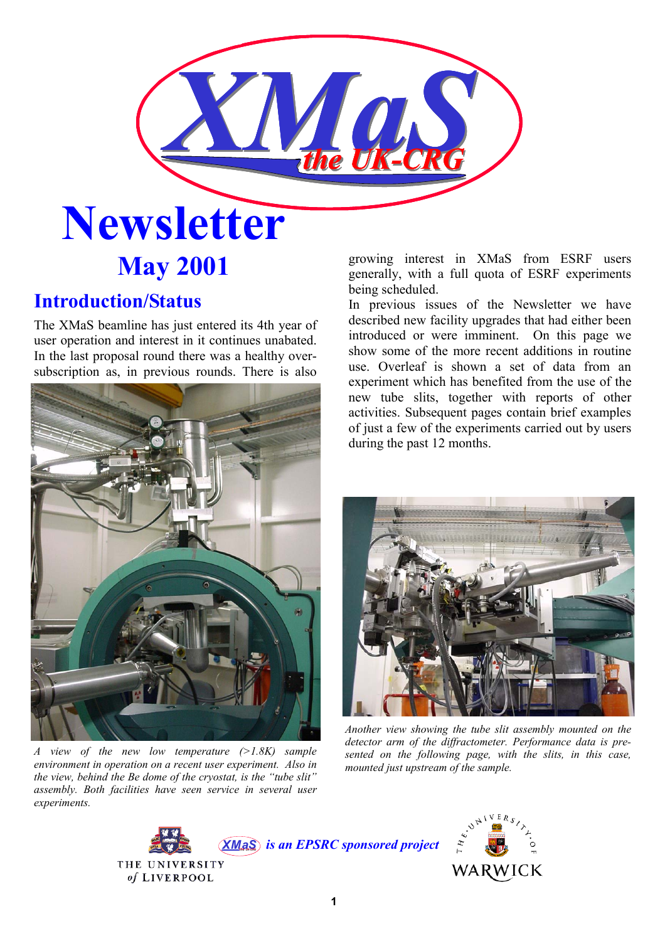

# **May 2001**

# **Introduction/Status**

The XMaS beamline has just entered its 4th year of user operation and interest in it continues unabated. In the last proposal round there was a healthy oversubscription as, in previous rounds. There is also



*A view of the new low temperature (>1.8K) sample environment in operation on a recent user experiment. Also in the view, behind the Be dome of the cryostat, is the "tube slit" assembly. Both facilities have seen service in several user experiments.* 

growing interest in XMaS from ESRF users generally, with a full quota of ESRF experiments being scheduled.

In previous issues of the Newsletter we have described new facility upgrades that had either been introduced or were imminent. On this page we show some of the more recent additions in routine use. Overleaf is shown a set of data from an experiment which has benefited from the use of the new tube slits, together with reports of other activities. Subsequent pages contain brief examples of just a few of the experiments carried out by users during the past 12 months.



*Another view showing the tube slit assembly mounted on the detector arm of the diffractometer. Performance data is presented on the following page, with the slits, in this case, mounted just upstream of the sample.* 



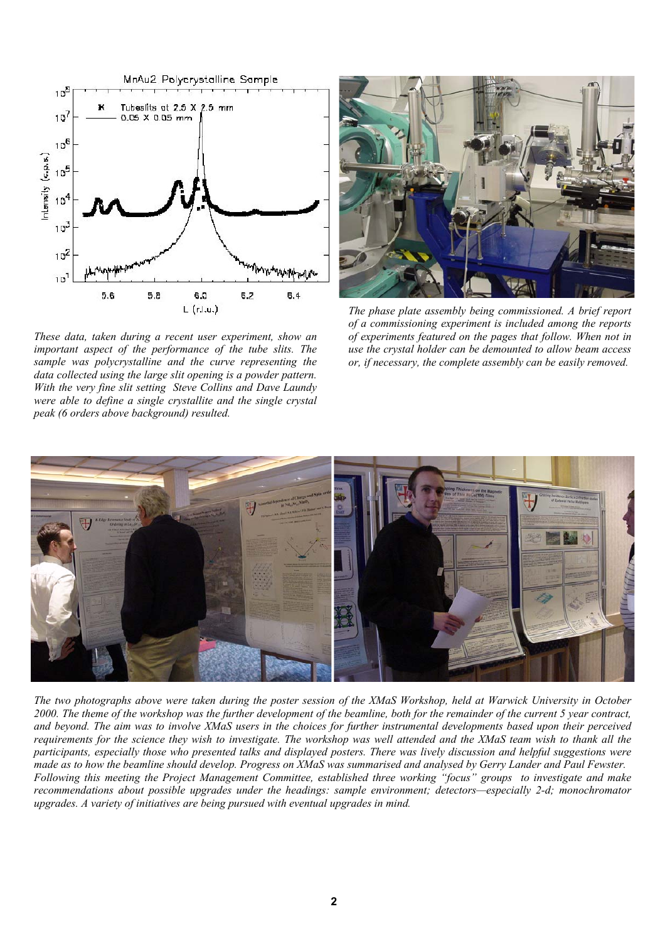

*These data, taken during a recent user experiment, show an important aspect of the performance of the tube slits. The sample was polycrystalline and the curve representing the data collected using the large slit opening is a powder pattern. With the very fine slit setting Steve Collins and Dave Laundy were able to define a single crystallite and the single crystal peak (6 orders above background) resulted.* 



*The phase plate assembly being commissioned. A brief report of a commissioning experiment is included among the reports of experiments featured on the pages that follow. When not in use the crystal holder can be demounted to allow beam access or, if necessary, the complete assembly can be easily removed.* 



*The two photographs above were taken during the poster session of the XMaS Workshop, held at Warwick University in October 2000. The theme of the workshop was the further development of the beamline, both for the remainder of the current 5 year contract, and beyond. The aim was to involve XMaS users in the choices for further instrumental developments based upon their perceived requirements for the science they wish to investigate. The workshop was well attended and the XMaS team wish to thank all the participants, especially those who presented talks and displayed posters. There was lively discussion and helpful suggestions were made as to how the beamline should develop. Progress on XMaS was summarised and analysed by Gerry Lander and Paul Fewster. Following this meeting the Project Management Committee, established three working "focus" groups to investigate and make recommendations about possible upgrades under the headings: sample environment; detectors—especially 2-d; monochromator upgrades. A variety of initiatives are being pursued with eventual upgrades in mind.*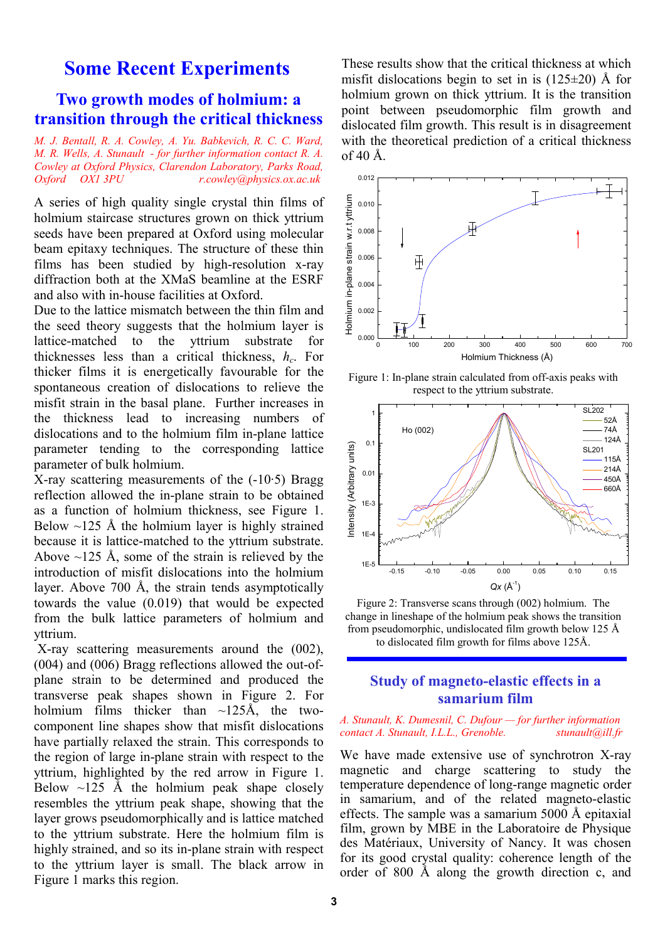# **Some Recent Experiments**

# **Two growth modes of holmium: a transition through the critical thickness**

*M. J. Bentall, R. A. Cowley, A. Yu. Babkevich, R. C. C. Ward, M. R. Wells, A. Stunault - for further information contact R. A. Cowley at Oxford Physics, Clarendon Laboratory, Parks Road, Oxford OX1 3PU r.cowley@physics.ox.ac.uk* 

A series of high quality single crystal thin films of holmium staircase structures grown on thick yttrium seeds have been prepared at Oxford using molecular beam epitaxy techniques. The structure of these thin films has been studied by high-resolution x-ray diffraction both at the XMaS beamline at the ESRF and also with in-house facilities at Oxford.

Due to the lattice mismatch between the thin film and the seed theory suggests that the holmium layer is lattice-matched to the yttrium substrate for thicknesses less than a critical thickness, *hc*. For thicker films it is energetically favourable for the spontaneous creation of dislocations to relieve the misfit strain in the basal plane. Further increases in the thickness lead to increasing numbers of dislocations and to the holmium film in-plane lattice parameter tending to the corresponding lattice parameter of bulk holmium.

X-ray scattering measurements of the  $(-10.5)$  Bragg reflection allowed the in-plane strain to be obtained as a function of holmium thickness, see Figure 1. Below  $\sim$ 125 Å the holmium layer is highly strained because it is lattice-matched to the yttrium substrate. Above  $\sim$ 125 Å, some of the strain is relieved by the introduction of misfit dislocations into the holmium layer. Above 700 Å, the strain tends asymptotically towards the value (0.019) that would be expected from the bulk lattice parameters of holmium and yttrium.

 X-ray scattering measurements around the (002), (004) and (006) Bragg reflections allowed the out-ofplane strain to be determined and produced the transverse peak shapes shown in Figure 2. For holmium films thicker than  $\sim$ 125Å, the twocomponent line shapes show that misfit dislocations have partially relaxed the strain. This corresponds to the region of large in-plane strain with respect to the yttrium, highlighted by the red arrow in Figure 1. Below  $\sim$ 125 Å the holmium peak shape closely resembles the yttrium peak shape, showing that the layer grows pseudomorphically and is lattice matched to the yttrium substrate. Here the holmium film is highly strained, and so its in-plane strain with respect to the yttrium layer is small. The black arrow in Figure 1 marks this region.

These results show that the critical thickness at which misfit dislocations begin to set in is  $(125\pm20)$  Å for holmium grown on thick yttrium. It is the transition point between pseudomorphic film growth and dislocated film growth. This result is in disagreement with the theoretical prediction of a critical thickness of 40 Å.



Figure 1: In-plane strain calculated from off-axis peaks with respect to the yttrium substrate.



Figure 2: Transverse scans through (002) holmium. The change in lineshape of the holmium peak shows the transition from pseudomorphic, undislocated film growth below 125 Å to dislocated film growth for films above 125Å.

### **Study of magneto-elastic effects in a samarium film**

*A. Stunault, K. Dumesnil, C. Dufour — for further information contact A. Stunault, I.L.L., Grenoble. stunault@ill.fr* 

We have made extensive use of synchrotron X-ray magnetic and charge scattering to study the temperature dependence of long-range magnetic order in samarium, and of the related magneto-elastic effects. The sample was a samarium 5000 Å epitaxial film, grown by MBE in the Laboratoire de Physique des Matériaux, University of Nancy. It was chosen for its good crystal quality: coherence length of the order of 800 Å along the growth direction c, and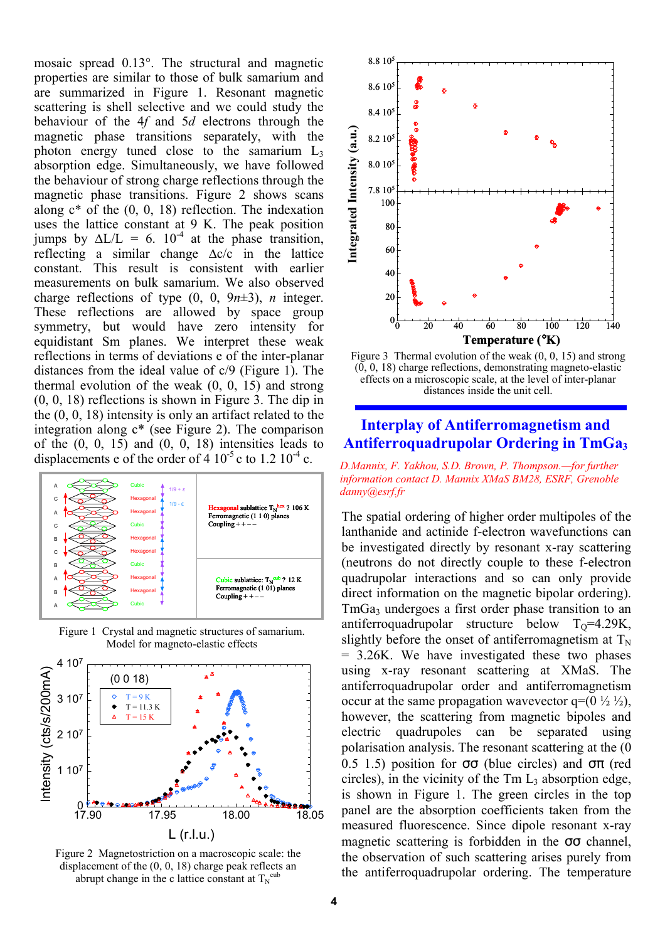mosaic spread 0.13°. The structural and magnetic properties are similar to those of bulk samarium and are summarized in Figure 1. Resonant magnetic scattering is shell selective and we could study the behaviour of the 4*f* and 5*d* electrons through the magnetic phase transitions separately, with the photon energy tuned close to the samarium  $L_3$ absorption edge. Simultaneously, we have followed the behaviour of strong charge reflections through the magnetic phase transitions. Figure 2 shows scans along  $c^*$  of the  $(0, 0, 18)$  reflection. The indexation uses the lattice constant at 9 K. The peak position jumps by  $\Delta L/L = 6$ . 10<sup>-4</sup> at the phase transition, reflecting a similar change ∆c/c in the lattice constant. This result is consistent with earlier measurements on bulk samarium. We also observed charge reflections of type  $(0, 0, 9n\pm 3)$ , *n* integer. These reflections are allowed by space group symmetry, but would have zero intensity for equidistant Sm planes. We interpret these weak reflections in terms of deviations e of the inter-planar distances from the ideal value of c/9 (Figure 1). The thermal evolution of the weak (0, 0, 15) and strong (0, 0, 18) reflections is shown in Figure 3. The dip in the (0, 0, 18) intensity is only an artifact related to the integration along c\* (see Figure 2). The comparison of the  $(0, 0, 15)$  and  $(0, 0, 18)$  intensities leads to displacements e of the order of  $4 \times 10^{-5}$  c to  $1.2 \times 10^{-4}$  c.



Figure 1 Crystal and magnetic structures of samarium. Model for magneto-elastic effects



Figure 2 Magnetostriction on a macroscopic scale: the displacement of the (0, 0, 18) charge peak reflects an abrupt change in the c lattice constant at  $T_N^{cub}$ 



Figure 3 Thermal evolution of the weak (0, 0, 15) and strong  $(0, 0, 18)$  charge reflections, demonstrating magneto-elastic effects on a microscopic scale, at the level of inter-planar distances inside the unit cell.

# **Interplay of Antiferromagnetism and Antiferroquadrupolar Ordering in TmGa3**

*D.Mannix, F. Yakhou, S.D. Brown, P. Thompson.—for further information contact D. Mannix XMaS BM28, ESRF, Grenoble danny@esrf.fr* 

The spatial ordering of higher order multipoles of the lanthanide and actinide f-electron wavefunctions can be investigated directly by resonant x-ray scattering (neutrons do not directly couple to these f-electron quadrupolar interactions and so can only provide direct information on the magnetic bipolar ordering). TmGa<sub>3</sub> undergoes a first order phase transition to an antiferroquadrupolar structure below  $T_0=4.29K$ , slightly before the onset of antiferromagnetism at  $T_N$ = 3.26K. We have investigated these two phases using x-ray resonant scattering at XMaS. The antiferroquadrupolar order and antiferromagnetism occur at the same propagation wavevector  $q=(0 \frac{1}{2} \frac{1}{2})$ , however, the scattering from magnetic bipoles and electric quadrupoles can be separated using polarisation analysis. The resonant scattering at the (0 0.5 1.5) position for  $\sigma\sigma$  (blue circles) and  $\sigma\pi$  (red circles), in the vicinity of the  $Tm L<sub>3</sub>$  absorption edge, is shown in Figure 1. The green circles in the top panel are the absorption coefficients taken from the measured fluorescence. Since dipole resonant x-ray magnetic scattering is forbidden in the  $\sigma\sigma$  channel, the observation of such scattering arises purely from the antiferroquadrupolar ordering. The temperature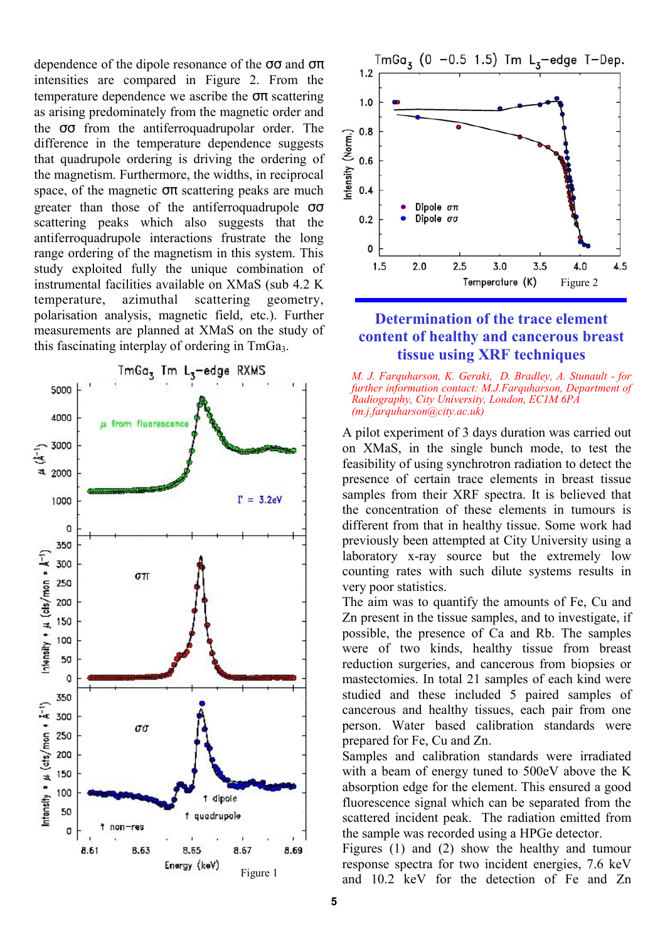dependence of the dipole resonance of the  $\sigma\sigma$  and  $\sigma\pi$ intensities are compared in Figure 2. From the temperature dependence we ascribe the  $\sigma\pi$  scattering as arising predominately from the magnetic order and the σσ from the antiferroquadrupolar order. The difference in the temperature dependence suggests that quadrupole ordering is driving the ordering of the magnetism. Furthermore, the widths, in reciprocal space, of the magnetic  $\sigma\pi$  scattering peaks are much greater than those of the antiferroquadrupole  $\sigma\sigma$ scattering peaks which also suggests that the antiferroquadrupole interactions frustrate the long range ordering of the magnetism in this system. This study exploited fully the unique combination of instrumental facilities available on XMaS (sub 4.2 K temperature, azimuthal scattering geometry, polarisation analysis, magnetic field, etc.). Further measurements are planned at XMaS on the study of this fascinating interplay of ordering in TmGa<sub>3</sub>.





# **Determination of the trace element content of healthy and cancerous breast tissue using XRF techniques**

*M. J. Farquharson, K. Geraki, D. Bradley, A. Stunault - for further information contact: M.J.Farquharson, Department of Radiography, City University, London, EC1M 6PA (m.j.farquharson@city.ac.uk)* 

A pilot experiment of 3 days duration was carried out on XMaS, in the single bunch mode, to test the feasibility of using synchrotron radiation to detect the presence of certain trace elements in breast tissue samples from their XRF spectra. It is believed that the concentration of these elements in tumours is different from that in healthy tissue. Some work had previously been attempted at City University using a laboratory x-ray source but the extremely low counting rates with such dilute systems results in very poor statistics.

The aim was to quantify the amounts of Fe, Cu and Zn present in the tissue samples, and to investigate, if possible, the presence of Ca and Rb. The samples were of two kinds, healthy tissue from breast reduction surgeries, and cancerous from biopsies or mastectomies. In total 21 samples of each kind were studied and these included 5 paired samples of cancerous and healthy tissues, each pair from one person. Water based calibration standards were prepared for Fe, Cu and Zn.

Samples and calibration standards were irradiated with a beam of energy tuned to 500eV above the K absorption edge for the element. This ensured a good fluorescence signal which can be separated from the scattered incident peak. The radiation emitted from the sample was recorded using a HPGe detector.

Figures (1) and (2) show the healthy and tumour response spectra for two incident energies, 7.6 keV and 10.2 keV for the detection of Fe and Zn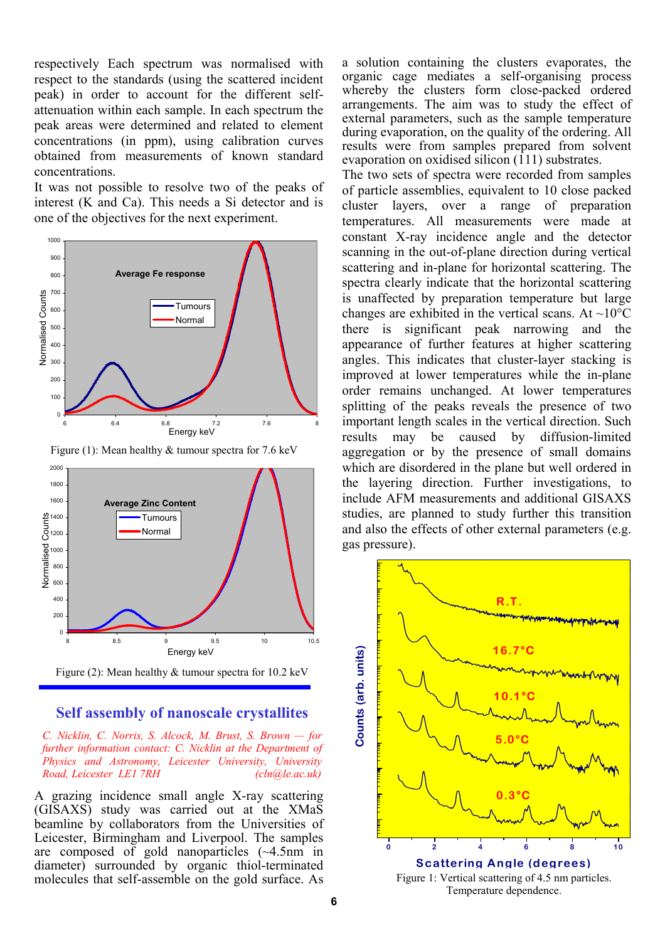respectively Each spectrum was normalised with respect to the standards (using the scattered incident peak) in order to account for the different selfattenuation within each sample. In each spectrum the peak areas were determined and related to element concentrations (in ppm), using calibration curves obtained from measurements of known standard concentrations.

It was not possible to resolve two of the peaks of interest (K and Ca). This needs a Si detector and is one of the objectives for the next experiment.



Figure (1): Mean healthy & tumour spectra for 7.6 keV



Figure (2): Mean healthy & tumour spectra for 10.2 keV

#### **Self assembly of nanoscale crystallites**

*C. Nicklin, C. Norris, S. Alcock, M. Brust, S. Brown — for further information contact: C. Nicklin at the Department of Physics and Astronomy, Leicester University, University Road, Leicester LE1 7RH (cln@le.ac.uk)* 

A grazing incidence small angle X-ray scattering (GISAXS) study was carried out at the XMaS beamline by collaborators from the Universities of Leicester, Birmingham and Liverpool. The samples are composed of gold nanoparticles (~4.5nm in diameter) surrounded by organic thiol-terminated molecules that self-assemble on the gold surface. As a solution containing the clusters evaporates, the organic cage mediates a self-organising process whereby the clusters form close-packed ordered arrangements. The aim was to study the effect of external parameters, such as the sample temperature during evaporation, on the quality of the ordering. All results were from samples prepared from solvent evaporation on oxidised silicon (111) substrates.

The two sets of spectra were recorded from samples of particle assemblies, equivalent to 10 close packed cluster layers, over a range of preparation temperatures. All measurements were made at constant X-ray incidence angle and the detector scanning in the out-of-plane direction during vertical scattering and in-plane for horizontal scattering. The spectra clearly indicate that the horizontal scattering is unaffected by preparation temperature but large changes are exhibited in the vertical scans. At  $\sim10^{\circ}$ C there is significant peak narrowing and the appearance of further features at higher scattering angles. This indicates that cluster-layer stacking is improved at lower temperatures while the in-plane order remains unchanged. At lower temperatures splitting of the peaks reveals the presence of two important length scales in the vertical direction. Such results may be caused by diffusion-limited aggregation or by the presence of small domains which are disordered in the plane but well ordered in the layering direction. Further investigations, to include AFM measurements and additional GISAXS studies, are planned to study further this transition and also the effects of other external parameters (e.g. gas pressure).



Temperature dependence.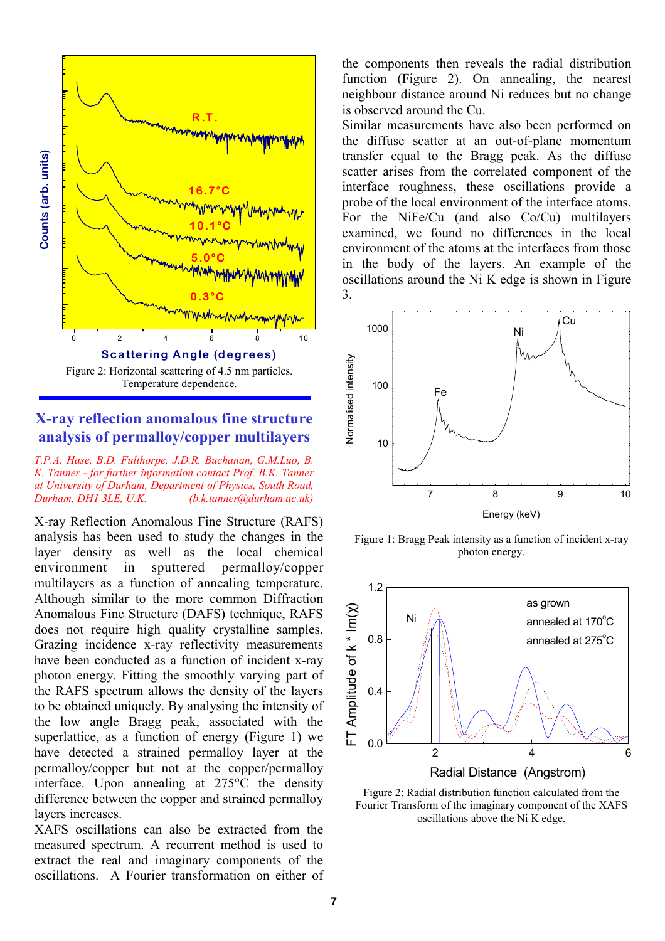

## **X-ray reflection anomalous fine structure analysis of permalloy/copper multilayers**

*T.P.A. Hase, B.D. Fulthorpe, J.D.R. Buchanan, G.M.Luo, B. K. Tanner - for further information contact Prof. B.K. Tanner at University of Durham, Department of Physics, South Road, Durham, DH1 3LE, U.K. (b.k.tanner@durham.ac.uk)*

X-ray Reflection Anomalous Fine Structure (RAFS) analysis has been used to study the changes in the layer density as well as the local chemical environment in sputtered permalloy/copper multilayers as a function of annealing temperature. Although similar to the more common Diffraction Anomalous Fine Structure (DAFS) technique, RAFS does not require high quality crystalline samples. Grazing incidence x-ray reflectivity measurements have been conducted as a function of incident x-ray photon energy. Fitting the smoothly varying part of the RAFS spectrum allows the density of the layers to be obtained uniquely. By analysing the intensity of the low angle Bragg peak, associated with the superlattice, as a function of energy (Figure 1) we have detected a strained permalloy layer at the permalloy/copper but not at the copper/permalloy interface. Upon annealing at 275°C the density difference between the copper and strained permalloy layers increases.

XAFS oscillations can also be extracted from the measured spectrum. A recurrent method is used to extract the real and imaginary components of the oscillations. A Fourier transformation on either of the components then reveals the radial distribution function (Figure 2). On annealing, the nearest neighbour distance around Ni reduces but no change is observed around the Cu.

Similar measurements have also been performed on the diffuse scatter at an out-of-plane momentum transfer equal to the Bragg peak. As the diffuse scatter arises from the correlated component of the interface roughness, these oscillations provide a probe of the local environment of the interface atoms. For the NiFe/Cu (and also Co/Cu) multilayers examined, we found no differences in the local environment of the atoms at the interfaces from those in the body of the layers. An example of the oscillations around the Ni K edge is shown in Figure 3.



Figure 1: Bragg Peak intensity as a function of incident x-ray photon energy.



Figure 2: Radial distribution function calculated from the Fourier Transform of the imaginary component of the XAFS oscillations above the Ni K edge.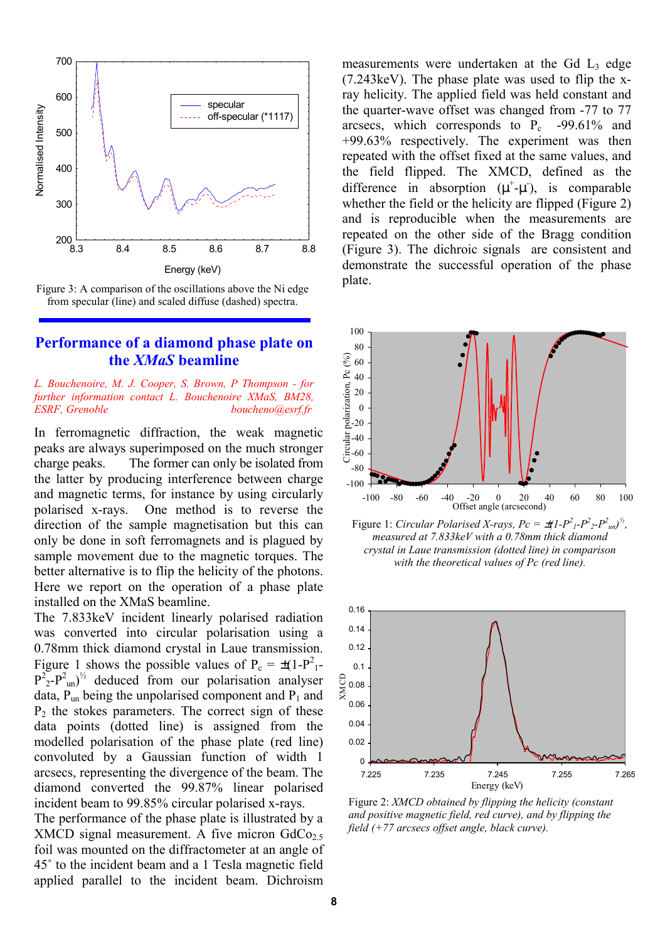



### **Performance of a diamond phase plate on the** *XMaS* **beamline**

#### *L. Bouchenoire, M. J. Cooper, S. Brown, P Thompson - for further information contact L. Bouchenoire XMaS, BM28, ESRF, Grenoble boucheno@esrf.fr*

In ferromagnetic diffraction, the weak magnetic peaks are always superimposed on the much stronger charge peaks. The former can only be isolated from the latter by producing interference between charge and magnetic terms, for instance by using circularly polarised x-rays. One method is to reverse the direction of the sample magnetisation but this can only be done in soft ferromagnets and is plagued by sample movement due to the magnetic torques. The better alternative is to flip the helicity of the photons. Here we report on the operation of a phase plate installed on the XMaS beamline.

The 7.833keV incident linearly polarised radiation was converted into circular polarisation using a 0.78mm thick diamond crystal in Laue transmission. Figure 1 shows the possible values of  $P_c = \pm (1-P_1^2 P^2 P^2$ - $P^2$ <sub>un</sub>)<sup>1/2</sup> deduced from our polarisation analyser data,  $P_{\text{un}}$  being the unpolarised component and  $P_1$  and  $P_2$  the stokes parameters. The correct sign of these data points (dotted line) is assigned from the modelled polarisation of the phase plate (red line) convoluted by a Gaussian function of width 1 arcsecs, representing the divergence of the beam. The diamond converted the 99.87% linear polarised incident beam to 99.85% circular polarised x-rays.

The performance of the phase plate is illustrated by a XMCD signal measurement. A five micron  $GdCo<sub>2.5</sub>$ foil was mounted on the diffractometer at an angle of 45˚ to the incident beam and a 1 Tesla magnetic field applied parallel to the incident beam. Dichroism measurements were undertaken at the Gd L<sub>3</sub> edge (7.243keV). The phase plate was used to flip the xray helicity. The applied field was held constant and the quarter-wave offset was changed from -77 to 77 arcsecs, which corresponds to  $P_c$  -99.61% and +99.63% respectively. The experiment was then repeated with the offset fixed at the same values, and the field flipped. The XMCD, defined as the difference in absorption  $(\mu^+ \text{-} \mu^*)$ , is comparable whether the field or the helicity are flipped (Figure 2) and is reproducible when the measurements are repeated on the other side of the Bragg condition (Figure 3). The dichroic signals are consistent and demonstrate the successful operation of the phase plate.



Figure 1: *Circular Polarised X-rays, Pc* =  $\pm (1-P^2P^2 - P^2)^2$ *measured at 7.833keV with a 0.78mm thick diamond crystal in Laue transmission (dotted line) in comparison with the theoretical values of Pc (red line).* 



Figure 2: *XMCD obtained by flipping the helicity (constant and positive magnetic field, red curve), and by flipping the field (+77 arcsecs offset angle, black curve).*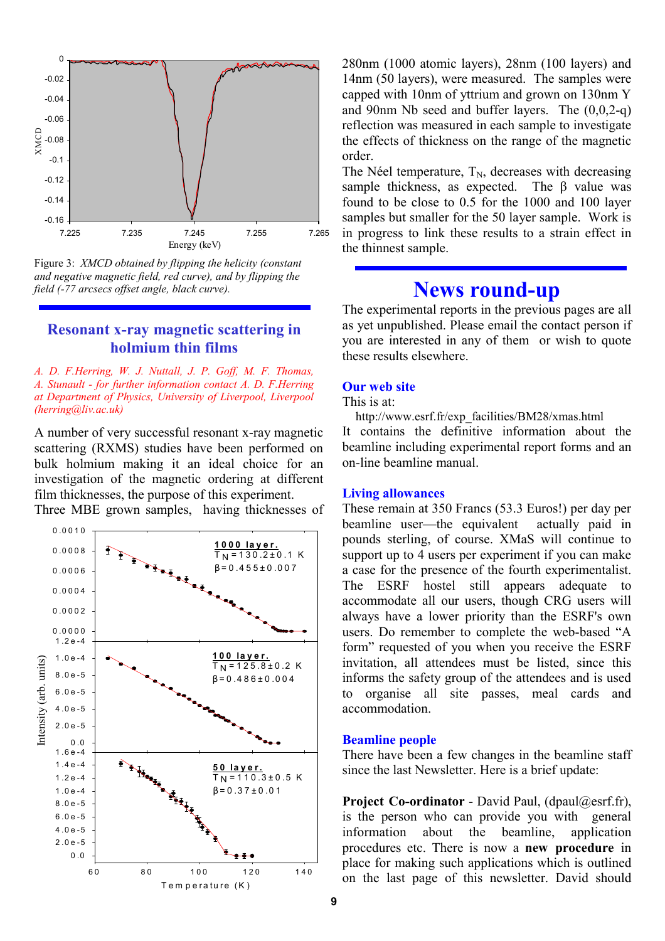

Figure 3: *XMCD obtained by flipping the helicity (constant and negative magnetic field, red curve), and by flipping the field (-77 arcsecs offset angle, black curve).*

### **Resonant x-ray magnetic scattering in holmium thin films**

*A. D. F.Herring, W. J. Nuttall, J. P. Goff, M. F. Thomas, A. Stunault - for further information contact A. D. F.Herring at Department of Physics, University of Liverpool, Liverpool (herring@liv.ac.uk)* 

A number of very successful resonant x-ray magnetic scattering (RXMS) studies have been performed on bulk holmium making it an ideal choice for an investigation of the magnetic ordering at different film thicknesses, the purpose of this experiment.

Three MBE grown samples, having thicknesses of



280nm (1000 atomic layers), 28nm (100 layers) and 14nm (50 layers), were measured. The samples were capped with 10nm of yttrium and grown on 130nm Y and 90nm Nb seed and buffer layers. The (0,0,2-q) reflection was measured in each sample to investigate the effects of thickness on the range of the magnetic order.

The Néel temperature,  $T_N$ , decreases with decreasing sample thickness, as expected. The  $\beta$  value was found to be close to 0.5 for the 1000 and 100 layer samples but smaller for the 50 layer sample. Work is in progress to link these results to a strain effect in the thinnest sample.

# **News round-up**

The experimental reports in the previous pages are all as yet unpublished. Please email the contact person if you are interested in any of them or wish to quote these results elsewhere.

#### **Our web site**

This is at:

 http://www.esrf.fr/exp\_facilities/BM28/xmas.html It contains the definitive information about the beamline including experimental report forms and an on-line beamline manual.

#### **Living allowances**

These remain at 350 Francs (53.3 Euros!) per day per beamline user—the equivalent actually paid in pounds sterling, of course. XMaS will continue to support up to 4 users per experiment if you can make a case for the presence of the fourth experimentalist. The ESRF hostel still appears adequate to accommodate all our users, though CRG users will always have a lower priority than the ESRF's own users. Do remember to complete the web-based "A form" requested of you when you receive the ESRF invitation, all attendees must be listed, since this informs the safety group of the attendees and is used to organise all site passes, meal cards and accommodation.

#### **Beamline people**

There have been a few changes in the beamline staff since the last Newsletter. Here is a brief update:

**Project Co-ordinator** - David Paul, (dpaul@esrf.fr), is the person who can provide you with general information about the beamline, application procedures etc. There is now a **new procedure** in place for making such applications which is outlined on the last page of this newsletter. David should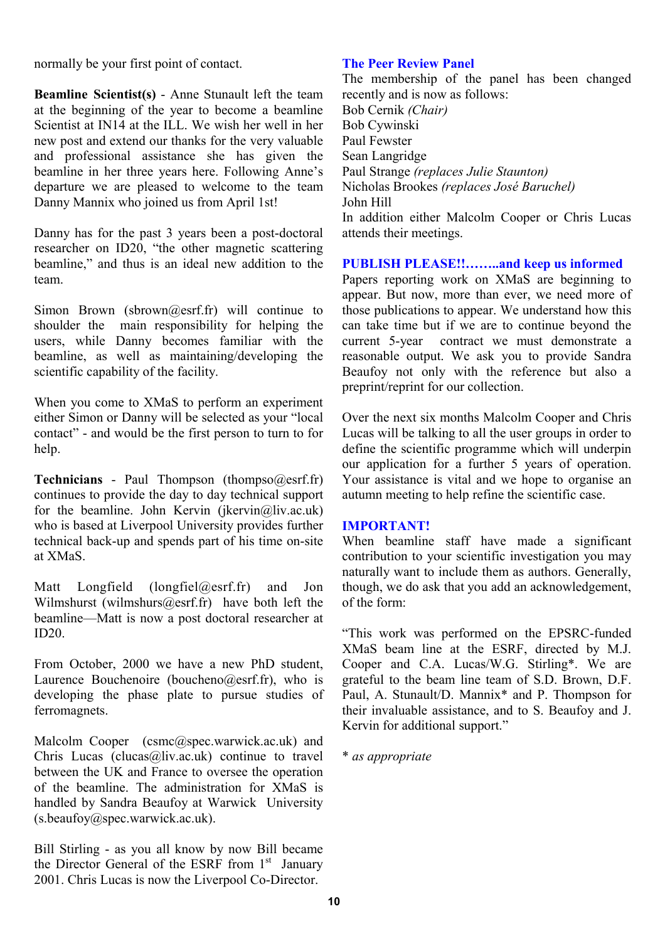normally be your first point of contact.

**Beamline Scientist(s)** - Anne Stunault left the team at the beginning of the year to become a beamline Scientist at IN14 at the ILL. We wish her well in her new post and extend our thanks for the very valuable and professional assistance she has given the beamline in her three years here. Following Anne's departure we are pleased to welcome to the team Danny Mannix who joined us from April 1st!

Danny has for the past 3 years been a post-doctoral researcher on ID20, "the other magnetic scattering beamline," and thus is an ideal new addition to the team.

Simon Brown (sbrown@esrf.fr) will continue to shoulder the main responsibility for helping the users, while Danny becomes familiar with the beamline, as well as maintaining/developing the scientific capability of the facility.

When you come to XMaS to perform an experiment either Simon or Danny will be selected as your "local contact" - and would be the first person to turn to for help.

**Technicians** - Paul Thompson (thompso@esrf.fr) continues to provide the day to day technical support for the beamline. John Kervin (jkervin $\omega$ liv.ac.uk) who is based at Liverpool University provides further technical back-up and spends part of his time on-site at XMaS.

Matt Longfield (longfiel@esrf.fr) and Jon Wilmshurst (wilmshurs $(a)$ esrf.fr) have both left the beamline—Matt is now a post doctoral researcher at  $ID20<sub>1</sub>$ 

From October, 2000 we have a new PhD student, Laurence Bouchenoire (boucheno $@$ esrf.fr), who is developing the phase plate to pursue studies of ferromagnets.

Malcolm Cooper (csmc@spec.warwick.ac.uk) and Chris Lucas (clucas  $\omega$ liv.ac.uk) continue to travel between the UK and France to oversee the operation of the beamline. The administration for XMaS is handled by Sandra Beaufoy at Warwick University (s.beaufoy@spec.warwick.ac.uk).

Bill Stirling - as you all know by now Bill became the Director General of the ESRF from  $1<sup>st</sup>$  January 2001. Chris Lucas is now the Liverpool Co-Director.

### **The Peer Review Panel**

The membership of the panel has been changed recently and is now as follows: Bob Cernik *(Chair)* Bob Cywinski Paul Fewster Sean Langridge Paul Strange *(replaces Julie Staunton)* Nicholas Brookes *(replaces José Baruchel)*  John Hill In addition either Malcolm Cooper or Chris Lucas attends their meetings.

## **PUBLISH PLEASE!!……..and keep us informed**

Papers reporting work on XMaS are beginning to appear. But now, more than ever, we need more of those publications to appear. We understand how this can take time but if we are to continue beyond the current 5-year contract we must demonstrate a reasonable output. We ask you to provide Sandra Beaufoy not only with the reference but also a preprint/reprint for our collection.

Over the next six months Malcolm Cooper and Chris Lucas will be talking to all the user groups in order to define the scientific programme which will underpin our application for a further 5 years of operation. Your assistance is vital and we hope to organise an autumn meeting to help refine the scientific case.

#### **IMPORTANT!**

When beamline staff have made a significant contribution to your scientific investigation you may naturally want to include them as authors. Generally, though, we do ask that you add an acknowledgement, of the form:

"This work was performed on the EPSRC-funded XMaS beam line at the ESRF, directed by M.J. Cooper and C.A. Lucas/W.G. Stirling\*. We are grateful to the beam line team of S.D. Brown, D.F. Paul, A. Stunault/D. Mannix\* and P. Thompson for their invaluable assistance, and to S. Beaufoy and J. Kervin for additional support."

\* *as appropriate*